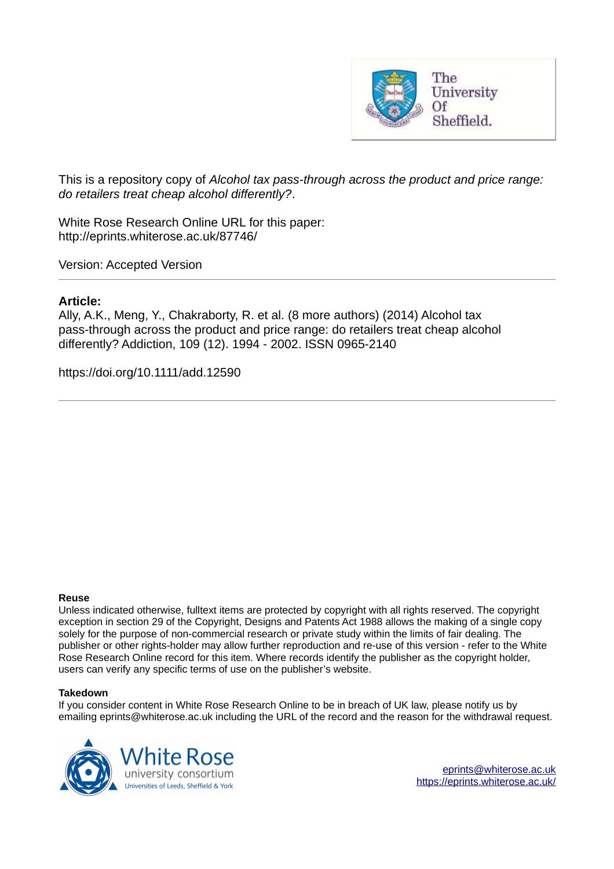

This is a repository copy of *Alcohol tax pass-through across the product and price range: do retailers treat cheap alcohol differently?*.

White Rose Research Online URL for this paper: http://eprints.whiterose.ac.uk/87746/

Version: Accepted Version

# **Article:**

Ally, A.K., Meng, Y., Chakraborty, R. et al. (8 more authors) (2014) Alcohol tax pass-through across the product and price range: do retailers treat cheap alcohol differently? Addiction, 109 (12). 1994 - 2002. ISSN 0965-2140

https://doi.org/10.1111/add.12590

#### **Reuse**

Unless indicated otherwise, fulltext items are protected by copyright with all rights reserved. The copyright exception in section 29 of the Copyright, Designs and Patents Act 1988 allows the making of a single copy solely for the purpose of non-commercial research or private study within the limits of fair dealing. The publisher or other rights-holder may allow further reproduction and re-use of this version - refer to the White Rose Research Online record for this item. Where records identify the publisher as the copyright holder, users can verify any specific terms of use on the publisher's website.

#### **Takedown**

If you consider content in White Rose Research Online to be in breach of UK law, please notify us by emailing eprints@whiterose.ac.uk including the URL of the record and the reason for the withdrawal request.

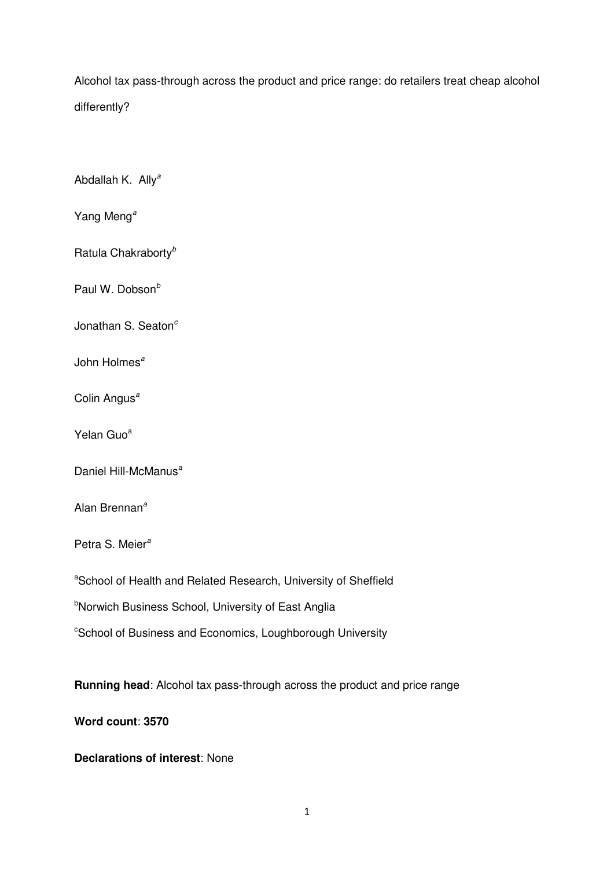Alcohol tax pass-through across the product and price range: do retailers treat cheap alcohol differently?

Abdallah K. Ally*<sup>a</sup>*

Yang Meng*<sup>a</sup>*

Ratula Chakraborty*<sup>b</sup>*

Paul W. Dobson*<sup>b</sup>*

Jonathan S. Seaton*<sup>c</sup>*

John Holmes*<sup>a</sup>*

Colin Angus*<sup>a</sup>*

Yelan Guo<sup>a</sup>

Daniel Hill-McManus*<sup>a</sup>*

Alan Brennan*<sup>a</sup>*

Petra S. Meier*<sup>a</sup>*

aSchool of Health and Related Research, University of Sheffield

**bNorwich Business School, University of East Anglia** 

<sup>c</sup>School of Business and Economics, Loughborough University

**Running head**: Alcohol tax pass-through across the product and price range

**Word count**: **3570**

**Declarations of interest**: None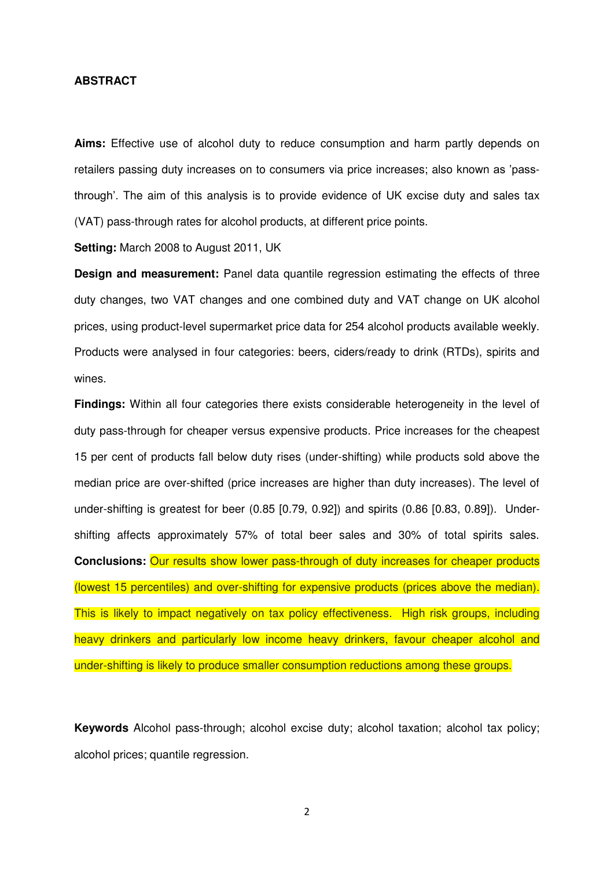# **ABSTRACT**

**Aims:** Effective use of alcohol duty to reduce consumption and harm partly depends on retailers passing duty increases on to consumers via price increases; also known as 'passthrough'. The aim of this analysis is to provide evidence of UK excise duty and sales tax (VAT) pass-through rates for alcohol products, at different price points.

**Setting:** March 2008 to August 2011, UK

**Design and measurement:** Panel data quantile regression estimating the effects of three duty changes, two VAT changes and one combined duty and VAT change on UK alcohol prices, using product-level supermarket price data for 254 alcohol products available weekly. Products were analysed in four categories: beers, ciders/ready to drink (RTDs), spirits and wines.

**Findings:** Within all four categories there exists considerable heterogeneity in the level of duty pass-through for cheaper versus expensive products. Price increases for the cheapest 15 per cent of products fall below duty rises (under-shifting) while products sold above the median price are over-shifted (price increases are higher than duty increases). The level of under-shifting is greatest for beer (0.85 [0.79, 0.92]) and spirits (0.86 [0.83, 0.89]). Undershifting affects approximately 57% of total beer sales and 30% of total spirits sales. **Conclusions:** Our results show lower pass-through of duty increases for cheaper products (lowest 15 percentiles) and over-shifting for expensive products (prices above the median). This is likely to impact negatively on tax policy effectiveness. High risk groups, including heavy drinkers and particularly low income heavy drinkers, favour cheaper alcohol and under-shifting is likely to produce smaller consumption reductions among these groups.

**Keywords** Alcohol pass-through; alcohol excise duty; alcohol taxation; alcohol tax policy; alcohol prices; quantile regression.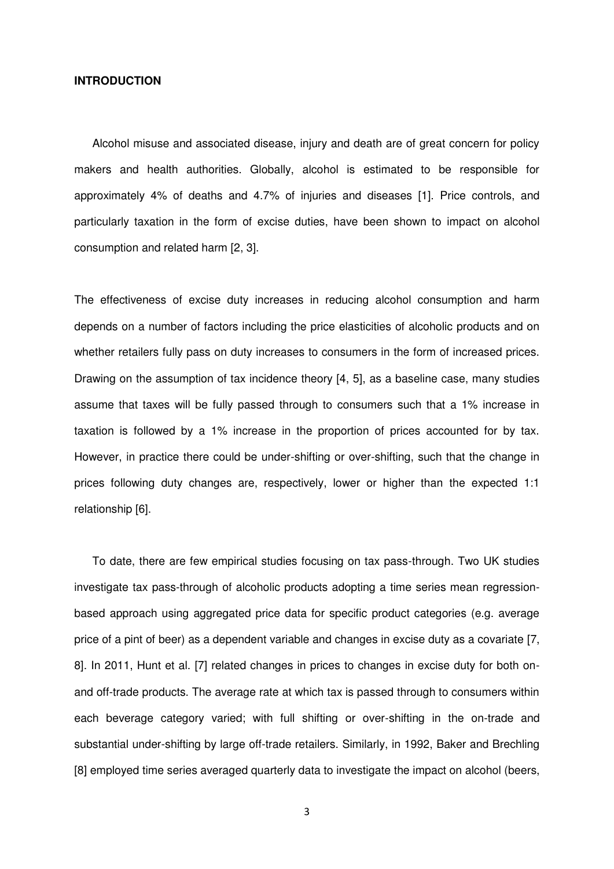#### **INTRODUCTION**

Alcohol misuse and associated disease, injury and death are of great concern for policy makers and health authorities. Globally, alcohol is estimated to be responsible for approximately 4% of deaths and 4.7% of injuries and diseases [1]. Price controls, and particularly taxation in the form of excise duties, have been shown to impact on alcohol consumption and related harm [2, 3].

The effectiveness of excise duty increases in reducing alcohol consumption and harm depends on a number of factors including the price elasticities of alcoholic products and on whether retailers fully pass on duty increases to consumers in the form of increased prices. Drawing on the assumption of tax incidence theory [4, 5], as a baseline case, many studies assume that taxes will be fully passed through to consumers such that a 1% increase in taxation is followed by a 1% increase in the proportion of prices accounted for by tax. However, in practice there could be under-shifting or over-shifting, such that the change in prices following duty changes are, respectively, lower or higher than the expected 1:1 relationship [6].

To date, there are few empirical studies focusing on tax pass-through. Two UK studies investigate tax pass-through of alcoholic products adopting a time series mean regressionbased approach using aggregated price data for specific product categories (e.g. average price of a pint of beer) as a dependent variable and changes in excise duty as a covariate [7, 8]. In 2011, Hunt et al. [7] related changes in prices to changes in excise duty for both onand off-trade products. The average rate at which tax is passed through to consumers within each beverage category varied; with full shifting or over-shifting in the on-trade and substantial under-shifting by large off-trade retailers. Similarly, in 1992, Baker and Brechling [8] employed time series averaged quarterly data to investigate the impact on alcohol (beers,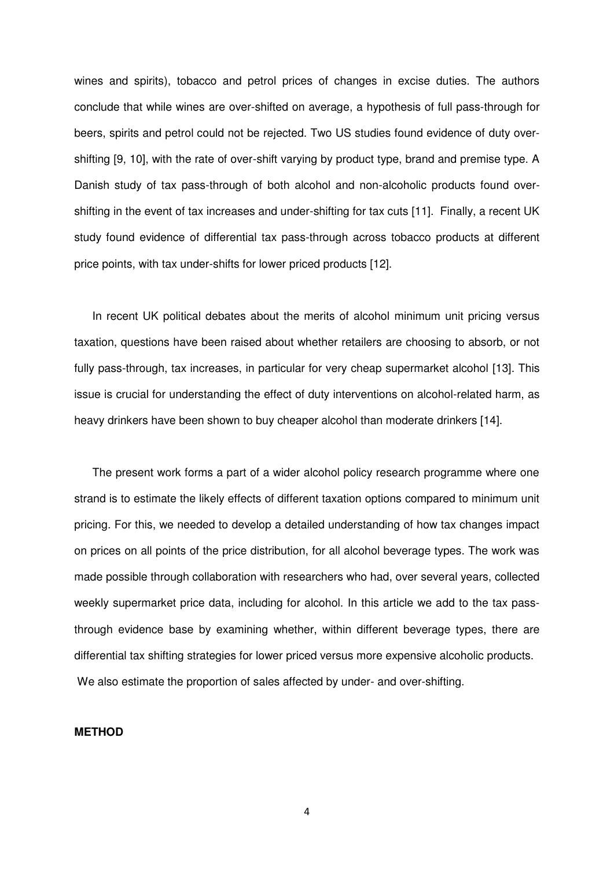wines and spirits), tobacco and petrol prices of changes in excise duties. The authors conclude that while wines are over-shifted on average, a hypothesis of full pass-through for beers, spirits and petrol could not be rejected. Two US studies found evidence of duty overshifting [9, 10], with the rate of over-shift varying by product type, brand and premise type. A Danish study of tax pass-through of both alcohol and non-alcoholic products found overshifting in the event of tax increases and under-shifting for tax cuts [11]. Finally, a recent UK study found evidence of differential tax pass-through across tobacco products at different price points, with tax under-shifts for lower priced products [12].

In recent UK political debates about the merits of alcohol minimum unit pricing versus taxation, questions have been raised about whether retailers are choosing to absorb, or not fully pass-through, tax increases, in particular for very cheap supermarket alcohol [13]. This issue is crucial for understanding the effect of duty interventions on alcohol-related harm, as heavy drinkers have been shown to buy cheaper alcohol than moderate drinkers [14].

The present work forms a part of a wider alcohol policy research programme where one strand is to estimate the likely effects of different taxation options compared to minimum unit pricing. For this, we needed to develop a detailed understanding of how tax changes impact on prices on all points of the price distribution, for all alcohol beverage types. The work was made possible through collaboration with researchers who had, over several years, collected weekly supermarket price data, including for alcohol. In this article we add to the tax passthrough evidence base by examining whether, within different beverage types, there are differential tax shifting strategies for lower priced versus more expensive alcoholic products. We also estimate the proportion of sales affected by under- and over-shifting.

#### **METHOD**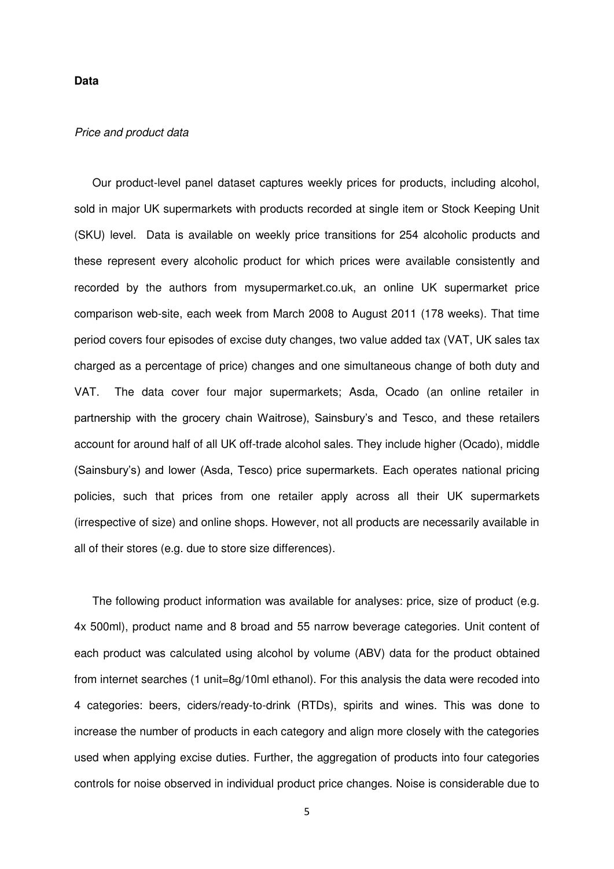#### **Data**

## *Price and product data*

Our product-level panel dataset captures weekly prices for products, including alcohol, sold in major UK supermarkets with products recorded at single item or Stock Keeping Unit (SKU) level. Data is available on weekly price transitions for 254 alcoholic products and these represent every alcoholic product for which prices were available consistently and recorded by the authors from mysupermarket.co.uk, an online UK supermarket price comparison web-site, each week from March 2008 to August 2011 (178 weeks). That time period covers four episodes of excise duty changes, two value added tax (VAT, UK sales tax charged as a percentage of price) changes and one simultaneous change of both duty and VAT. The data cover four major supermarkets; Asda, Ocado (an online retailer in partnership with the grocery chain Waitrose), Sainsbury's and Tesco, and these retailers account for around half of all UK off-trade alcohol sales. They include higher (Ocado), middle (Sainsbury's) and lower (Asda, Tesco) price supermarkets. Each operates national pricing policies, such that prices from one retailer apply across all their UK supermarkets (irrespective of size) and online shops. However, not all products are necessarily available in all of their stores (e.g. due to store size differences).

The following product information was available for analyses: price, size of product (e.g. 4x 500ml), product name and 8 broad and 55 narrow beverage categories. Unit content of each product was calculated using alcohol by volume (ABV) data for the product obtained from internet searches (1 unit=8g/10ml ethanol). For this analysis the data were recoded into 4 categories: beers, ciders/ready-to-drink (RTDs), spirits and wines. This was done to increase the number of products in each category and align more closely with the categories used when applying excise duties. Further, the aggregation of products into four categories controls for noise observed in individual product price changes. Noise is considerable due to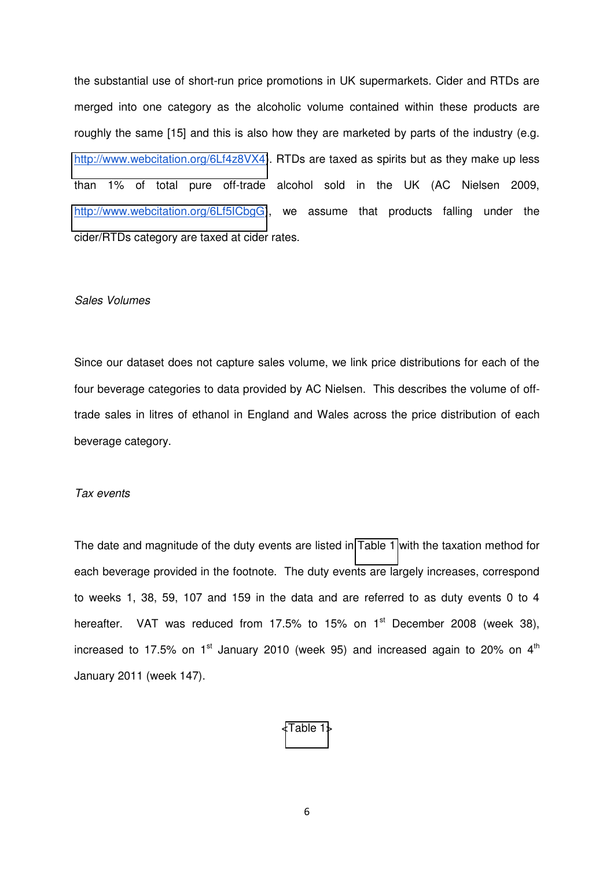the substantial use of short-run price promotions in UK supermarkets. Cider and RTDs are merged into one category as the alcoholic volume contained within these products are roughly the same [15] and this is also how they are marketed by parts of the industry (e.g. [http://www.webcitation.org/6Lf4z8VX4\)](http://www.webcitation.org/6Lf4z8VX4). RTDs are taxed as spirits but as they make up less than 1% of total pure off-trade alcohol sold in the UK (AC Nielsen 2009, [http://www.webcitation.org/6Lf5ICbgG\)](http://www.webcitation.org/6Lf5ICbgG), we assume that products falling under the cider/RTDs category are taxed at cider rates.

# *Sales Volumes*

Since our dataset does not capture sales volume, we link price distributions for each of the four beverage categories to data provided by AC Nielsen. This describes the volume of offtrade sales in litres of ethanol in England and Wales across the price distribution of each beverage category.

# *Tax events*

The date and magnitude of the duty events are listed in [Table 1](#page-18-0) with the taxation method for each beverage provided in the footnote. The duty events are largely increases, correspond to weeks 1, 38, 59, 107 and 159 in the data and are referred to as duty events 0 to 4 hereafter. VAT was reduced from 17.5% to 15% on  $1<sup>st</sup>$  December 2008 (week 38), increased to 17.5% on  $1<sup>st</sup>$  January 2010 (week 95) and increased again to 20% on  $4<sup>th</sup>$ January 2011 (week 147).

#### [<Table 1>](#page-18-0)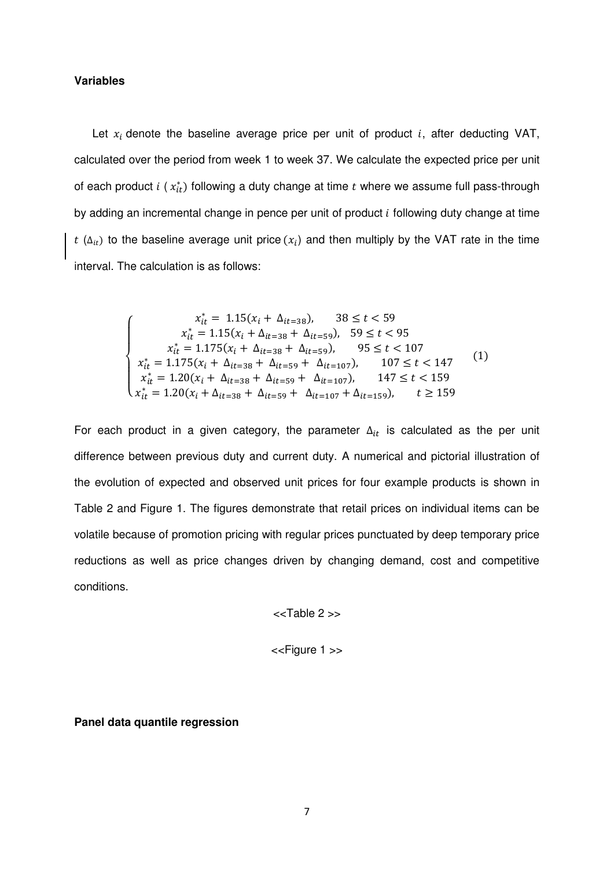## **Variables**

Let  $x_i$  denote the baseline average price per unit of product i, after deducting VAT, calculated over the period from week 1 to week 37. We calculate the expected price per unit of each product  $i$  ( $x_{it}^*$ ) following a duty change at time  $t$  where we assume full pass-through by adding an incremental change in pence per unit of product  $i$  following duty change at time  $t$  ( $\Delta_{it}$ ) to the baseline average unit price ( $x_i$ ) and then multiply by the VAT rate in the time interval. The calculation is as follows:

$$
\begin{cases}\n x_{it}^{*} = 1.15(x_{i} + \Delta_{it=38}), \quad 38 \leq t < 59 \\
x_{it}^{*} = 1.15(x_{i} + \Delta_{it=38} + \Delta_{it=59}), \quad 59 \leq t < 95 \\
x_{it}^{*} = 1.175(x_{i} + \Delta_{it=38} + \Delta_{it=59}), \quad 95 \leq t < 107 \\
x_{it}^{*} = 1.175(x_{i} + \Delta_{it=38} + \Delta_{it=59} + \Delta_{it=107}), \quad 107 \leq t < 147 \\
x_{it}^{*} = 1.20(x_{i} + \Delta_{it=38} + \Delta_{it=59} + \Delta_{it=107}), \quad 147 \leq t < 159 \\
x_{it}^{*} = 1.20(x_{i} + \Delta_{it=38} + \Delta_{it=59} + \Delta_{it=107} + \Delta_{it=159}), \quad t \geq 159\n\end{cases} (1)
$$

For each product in a given category, the parameter  $\Delta_{it}$  is calculated as the per unit difference between previous duty and current duty. A numerical and pictorial illustration of the evolution of expected and observed unit prices for four example products is shown in Table 2 and Figure 1. The figures demonstrate that retail prices on individual items can be volatile because of promotion pricing with regular prices punctuated by deep temporary price reductions as well as price changes driven by changing demand, cost and competitive conditions.

<<Table 2 >>

<<Figure 1 >>

**Panel data quantile regression**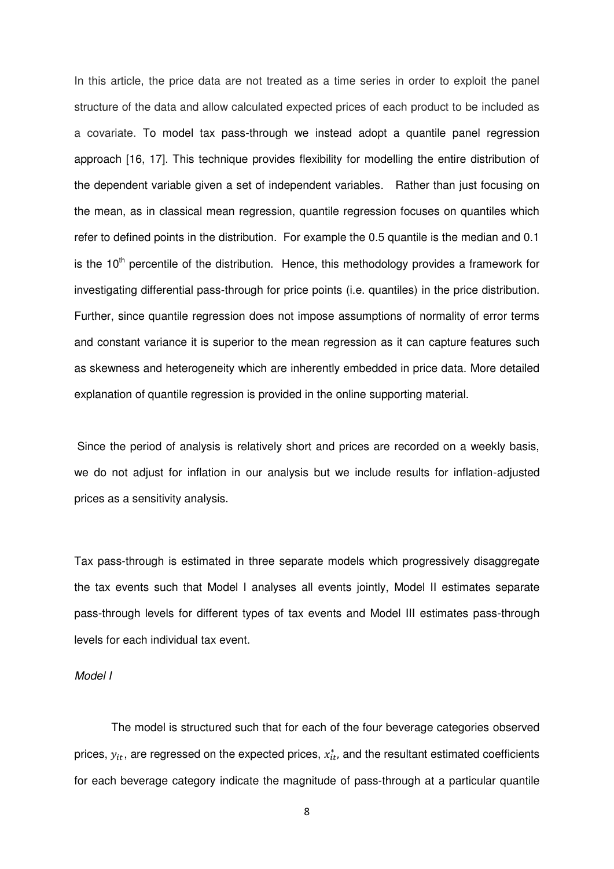In this article, the price data are not treated as a time series in order to exploit the panel structure of the data and allow calculated expected prices of each product to be included as a covariate. To model tax pass-through we instead adopt a quantile panel regression approach [16, 17]. This technique provides flexibility for modelling the entire distribution of the dependent variable given a set of independent variables. Rather than just focusing on the mean, as in classical mean regression, quantile regression focuses on quantiles which refer to defined points in the distribution. For example the 0.5 quantile is the median and 0.1 is the  $10<sup>th</sup>$  percentile of the distribution. Hence, this methodology provides a framework for investigating differential pass-through for price points (i.e. quantiles) in the price distribution. Further, since quantile regression does not impose assumptions of normality of error terms and constant variance it is superior to the mean regression as it can capture features such as skewness and heterogeneity which are inherently embedded in price data. More detailed explanation of quantile regression is provided in the online supporting material.

Since the period of analysis is relatively short and prices are recorded on a weekly basis, we do not adjust for inflation in our analysis but we include results for inflation-adjusted prices as a sensitivity analysis.

Tax pass-through is estimated in three separate models which progressively disaggregate the tax events such that Model I analyses all events jointly, Model II estimates separate pass-through levels for different types of tax events and Model III estimates pass-through levels for each individual tax event.

#### *Model I*

The model is structured such that for each of the four beverage categories observed prices,  $y_{it}$ , are regressed on the expected prices,  $x_{it}^*$ , and the resultant estimated coefficients for each beverage category indicate the magnitude of pass-through at a particular quantile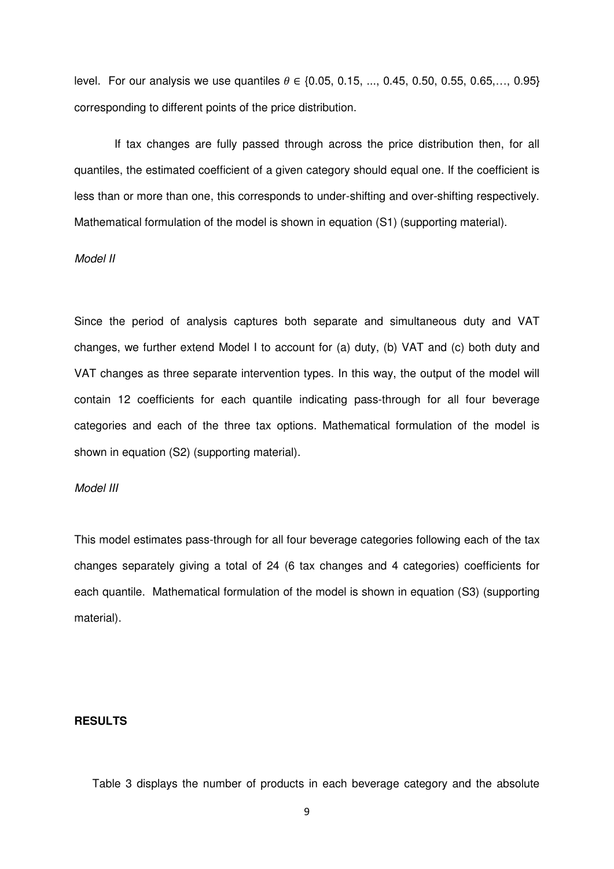level. For our analysis we use quantiles  $\theta \in \{0.05, 0.15, ..., 0.45, 0.50, 0.55, 0.65, ..., 0.95\}$ corresponding to different points of the price distribution.

 If tax changes are fully passed through across the price distribution then, for all quantiles, the estimated coefficient of a given category should equal one. If the coefficient is less than or more than one, this corresponds to under-shifting and over-shifting respectively. Mathematical formulation of the model is shown in equation (S1) (supporting material).

#### *Model II*

Since the period of analysis captures both separate and simultaneous duty and VAT changes, we further extend Model I to account for (a) duty, (b) VAT and (c) both duty and VAT changes as three separate intervention types. In this way, the output of the model will contain 12 coefficients for each quantile indicating pass-through for all four beverage categories and each of the three tax options. Mathematical formulation of the model is shown in equation (S2) (supporting material).

#### *Model III*

This model estimates pass-through for all four beverage categories following each of the tax changes separately giving a total of 24 (6 tax changes and 4 categories) coefficients for each quantile. Mathematical formulation of the model is shown in equation (S3) (supporting material).

## **RESULTS**

Table 3 displays the number of products in each beverage category and the absolute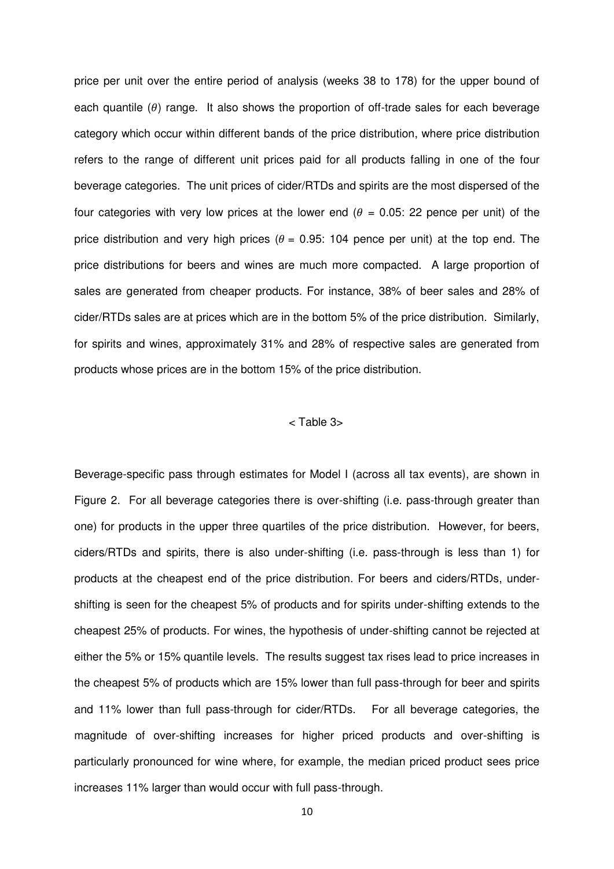price per unit over the entire period of analysis (weeks 38 to 178) for the upper bound of each quantile  $(\theta)$  range. It also shows the proportion of off-trade sales for each beverage category which occur within different bands of the price distribution, where price distribution refers to the range of different unit prices paid for all products falling in one of the four beverage categories. The unit prices of cider/RTDs and spirits are the most dispersed of the four categories with very low prices at the lower end  $(\theta = 0.05: 22$  pence per unit) of the price distribution and very high prices ( $\theta$  = 0.95: 104 pence per unit) at the top end. The price distributions for beers and wines are much more compacted. A large proportion of sales are generated from cheaper products. For instance, 38% of beer sales and 28% of cider/RTDs sales are at prices which are in the bottom 5% of the price distribution. Similarly, for spirits and wines, approximately 31% and 28% of respective sales are generated from products whose prices are in the bottom 15% of the price distribution.

## < Table 3>

Beverage-specific pass through estimates for Model I (across all tax events), are shown in Figure 2. For all beverage categories there is over-shifting (i.e. pass-through greater than one) for products in the upper three quartiles of the price distribution. However, for beers, ciders/RTDs and spirits, there is also under-shifting (i.e. pass-through is less than 1) for products at the cheapest end of the price distribution. For beers and ciders/RTDs, undershifting is seen for the cheapest 5% of products and for spirits under-shifting extends to the cheapest 25% of products. For wines, the hypothesis of under-shifting cannot be rejected at either the 5% or 15% quantile levels. The results suggest tax rises lead to price increases in the cheapest 5% of products which are 15% lower than full pass-through for beer and spirits and 11% lower than full pass-through for cider/RTDs. For all beverage categories, the magnitude of over-shifting increases for higher priced products and over-shifting is particularly pronounced for wine where, for example, the median priced product sees price increases 11% larger than would occur with full pass-through.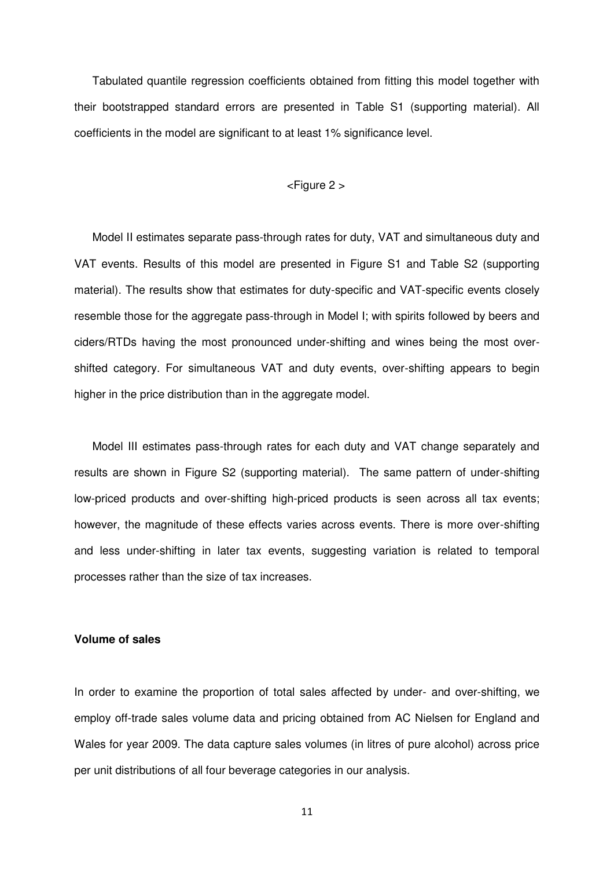Tabulated quantile regression coefficients obtained from fitting this model together with their bootstrapped standard errors are presented in Table S1 (supporting material). All coefficients in the model are significant to at least 1% significance level.

#### <Figure 2 >

Model II estimates separate pass-through rates for duty, VAT and simultaneous duty and VAT events. Results of this model are presented in Figure S1 and Table S2 (supporting material). The results show that estimates for duty-specific and VAT-specific events closely resemble those for the aggregate pass-through in Model I; with spirits followed by beers and ciders/RTDs having the most pronounced under-shifting and wines being the most overshifted category. For simultaneous VAT and duty events, over-shifting appears to begin higher in the price distribution than in the aggregate model.

Model III estimates pass-through rates for each duty and VAT change separately and results are shown in Figure S2 (supporting material). The same pattern of under-shifting low-priced products and over-shifting high-priced products is seen across all tax events; however, the magnitude of these effects varies across events. There is more over-shifting and less under-shifting in later tax events, suggesting variation is related to temporal processes rather than the size of tax increases.

## **Volume of sales**

In order to examine the proportion of total sales affected by under- and over-shifting, we employ off-trade sales volume data and pricing obtained from AC Nielsen for England and Wales for year 2009. The data capture sales volumes (in litres of pure alcohol) across price per unit distributions of all four beverage categories in our analysis.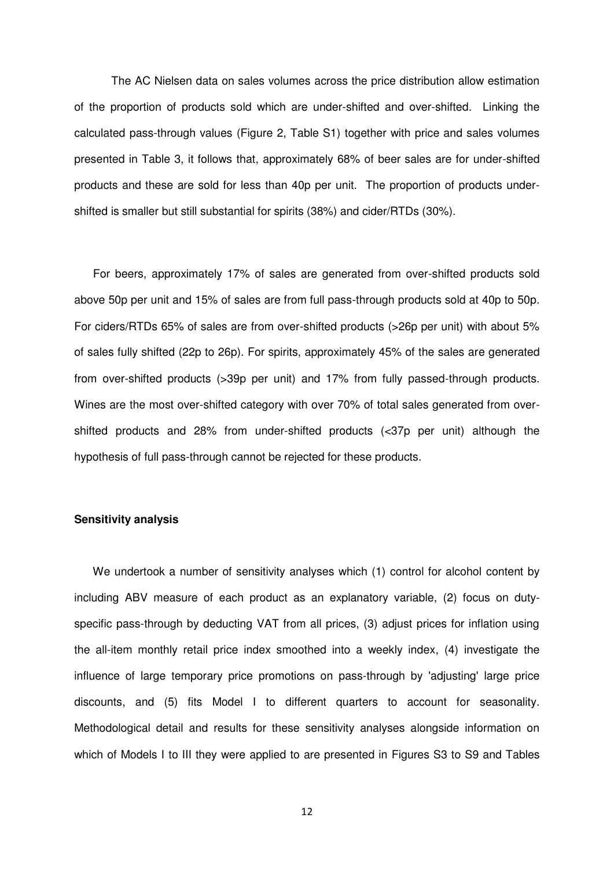The AC Nielsen data on sales volumes across the price distribution allow estimation of the proportion of products sold which are under-shifted and over-shifted. Linking the calculated pass-through values (Figure 2, Table S1) together with price and sales volumes presented in Table 3, it follows that, approximately 68% of beer sales are for under-shifted products and these are sold for less than 40p per unit. The proportion of products undershifted is smaller but still substantial for spirits (38%) and cider/RTDs (30%).

 For beers, approximately 17% of sales are generated from over-shifted products sold above 50p per unit and 15% of sales are from full pass-through products sold at 40p to 50p. For ciders/RTDs 65% of sales are from over-shifted products (>26p per unit) with about 5% of sales fully shifted (22p to 26p). For spirits, approximately 45% of the sales are generated from over-shifted products (>39p per unit) and 17% from fully passed-through products. Wines are the most over-shifted category with over 70% of total sales generated from overshifted products and 28% from under-shifted products (<37p per unit) although the hypothesis of full pass-through cannot be rejected for these products.

## **Sensitivity analysis**

We undertook a number of sensitivity analyses which (1) control for alcohol content by including ABV measure of each product as an explanatory variable, (2) focus on dutyspecific pass-through by deducting VAT from all prices, (3) adjust prices for inflation using the all-item monthly retail price index smoothed into a weekly index, (4) investigate the influence of large temporary price promotions on pass-through by 'adjusting' large price discounts, and (5) fits Model I to different quarters to account for seasonality. Methodological detail and results for these sensitivity analyses alongside information on which of Models I to III they were applied to are presented in Figures S3 to S9 and Tables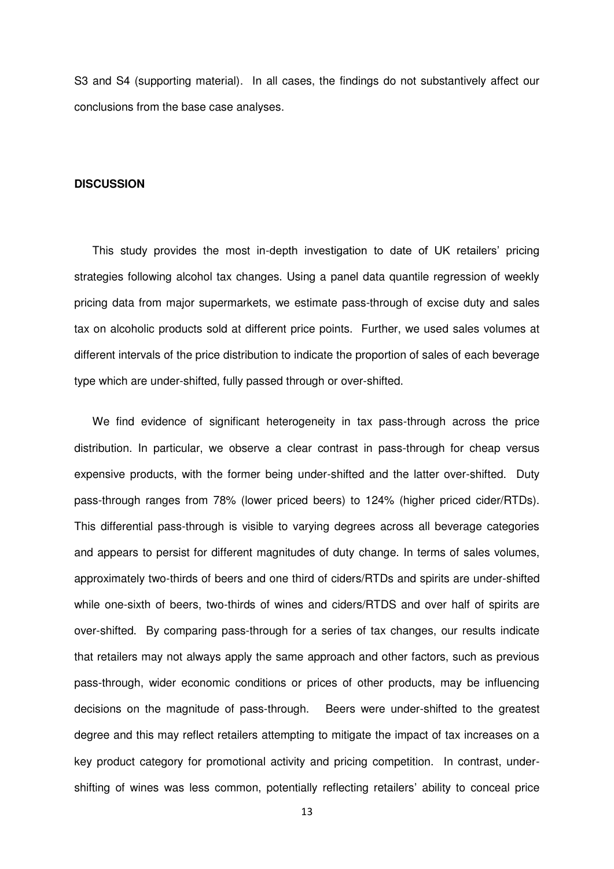S3 and S4 (supporting material). In all cases, the findings do not substantively affect our conclusions from the base case analyses.

#### **DISCUSSION**

This study provides the most in-depth investigation to date of UK retailers' pricing strategies following alcohol tax changes. Using a panel data quantile regression of weekly pricing data from major supermarkets, we estimate pass-through of excise duty and sales tax on alcoholic products sold at different price points. Further, we used sales volumes at different intervals of the price distribution to indicate the proportion of sales of each beverage type which are under-shifted, fully passed through or over-shifted.

We find evidence of significant heterogeneity in tax pass-through across the price distribution. In particular, we observe a clear contrast in pass-through for cheap versus expensive products, with the former being under-shifted and the latter over-shifted. Duty pass-through ranges from 78% (lower priced beers) to 124% (higher priced cider/RTDs). This differential pass-through is visible to varying degrees across all beverage categories and appears to persist for different magnitudes of duty change. In terms of sales volumes, approximately two-thirds of beers and one third of ciders/RTDs and spirits are under-shifted while one-sixth of beers, two-thirds of wines and ciders/RTDS and over half of spirits are over-shifted. By comparing pass-through for a series of tax changes, our results indicate that retailers may not always apply the same approach and other factors, such as previous pass-through, wider economic conditions or prices of other products, may be influencing decisions on the magnitude of pass-through. Beers were under-shifted to the greatest degree and this may reflect retailers attempting to mitigate the impact of tax increases on a key product category for promotional activity and pricing competition. In contrast, undershifting of wines was less common, potentially reflecting retailers' ability to conceal price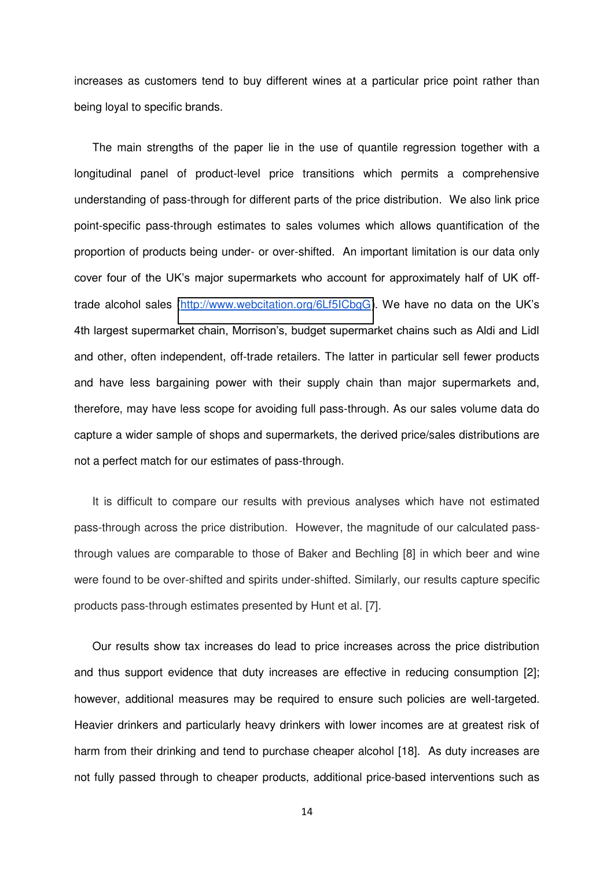increases as customers tend to buy different wines at a particular price point rather than being loyal to specific brands.

The main strengths of the paper lie in the use of quantile regression together with a longitudinal panel of product-level price transitions which permits a comprehensive understanding of pass-through for different parts of the price distribution. We also link price point-specific pass-through estimates to sales volumes which allows quantification of the proportion of products being under- or over-shifted. An important limitation is our data only cover four of the UK's major supermarkets who account for approximately half of UK offtrade alcohol sales [\(http://www.webcitation.org/6Lf5ICbgG](http://www.webcitation.org/6Lf5ICbgG)). We have no data on the UK's 4th largest supermarket chain, Morrison's, budget supermarket chains such as Aldi and Lidl and other, often independent, off-trade retailers. The latter in particular sell fewer products and have less bargaining power with their supply chain than major supermarkets and, therefore, may have less scope for avoiding full pass-through. As our sales volume data do capture a wider sample of shops and supermarkets, the derived price/sales distributions are not a perfect match for our estimates of pass-through.

It is difficult to compare our results with previous analyses which have not estimated pass-through across the price distribution. However, the magnitude of our calculated passthrough values are comparable to those of Baker and Bechling [8] in which beer and wine were found to be over-shifted and spirits under-shifted. Similarly, our results capture specific products pass-through estimates presented by Hunt et al. [7].

Our results show tax increases do lead to price increases across the price distribution and thus support evidence that duty increases are effective in reducing consumption [2]; however, additional measures may be required to ensure such policies are well-targeted. Heavier drinkers and particularly heavy drinkers with lower incomes are at greatest risk of harm from their drinking and tend to purchase cheaper alcohol [18]. As duty increases are not fully passed through to cheaper products, additional price-based interventions such as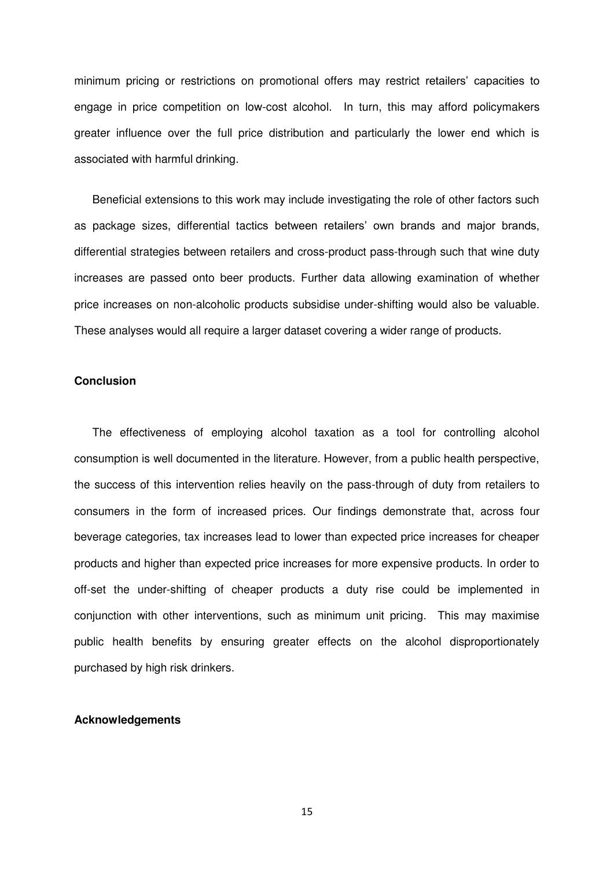minimum pricing or restrictions on promotional offers may restrict retailers' capacities to engage in price competition on low-cost alcohol. In turn, this may afford policymakers greater influence over the full price distribution and particularly the lower end which is associated with harmful drinking.

Beneficial extensions to this work may include investigating the role of other factors such as package sizes, differential tactics between retailers' own brands and major brands, differential strategies between retailers and cross-product pass-through such that wine duty increases are passed onto beer products. Further data allowing examination of whether price increases on non-alcoholic products subsidise under-shifting would also be valuable. These analyses would all require a larger dataset covering a wider range of products.

## **Conclusion**

The effectiveness of employing alcohol taxation as a tool for controlling alcohol consumption is well documented in the literature. However, from a public health perspective, the success of this intervention relies heavily on the pass-through of duty from retailers to consumers in the form of increased prices. Our findings demonstrate that, across four beverage categories, tax increases lead to lower than expected price increases for cheaper products and higher than expected price increases for more expensive products. In order to off-set the under-shifting of cheaper products a duty rise could be implemented in conjunction with other interventions, such as minimum unit pricing. This may maximise public health benefits by ensuring greater effects on the alcohol disproportionately purchased by high risk drinkers.

#### **Acknowledgements**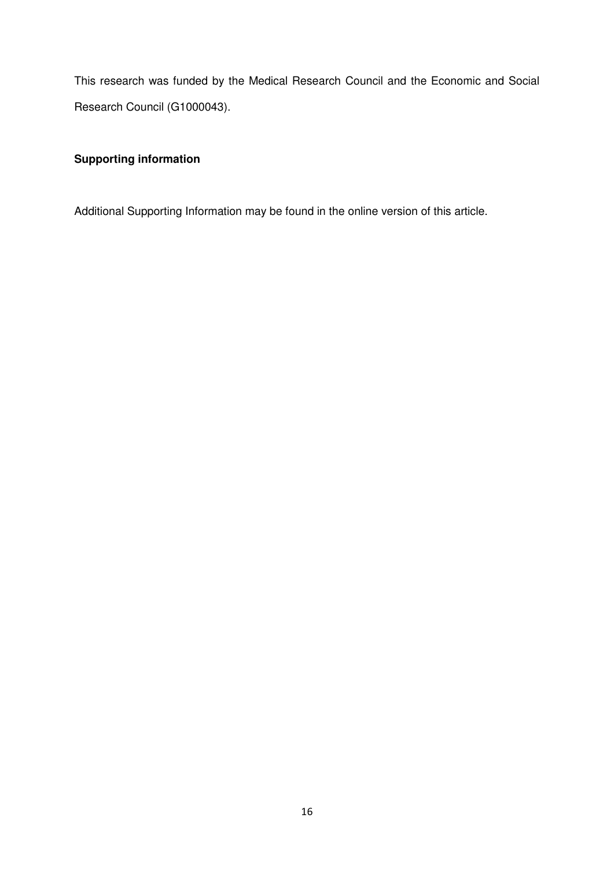This research was funded by the Medical Research Council and the Economic and Social Research Council (G1000043).

# **Supporting information**

Additional Supporting Information may be found in the online version of this article.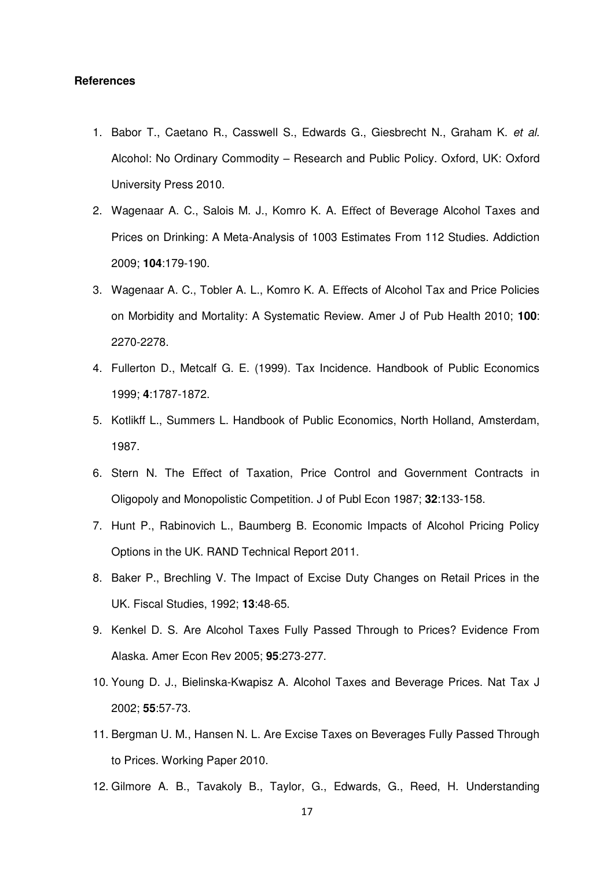#### **References**

- 1. Babor T., Caetano R., Casswell S., Edwards G., Giesbrecht N., Graham K. *et al.*  Alcohol: No Ordinary Commodity – Research and Public Policy. Oxford, UK: Oxford University Press 2010.
- 2. Wagenaar A. C., Salois M. J., Komro K. A. Effect of Beverage Alcohol Taxes and Prices on Drinking: A Meta-Analysis of 1003 Estimates From 112 Studies. Addiction 2009; **104**:179-190.
- 3. Wagenaar A. C., Tobler A. L., Komro K. A. Effects of Alcohol Tax and Price Policies on Morbidity and Mortality: A Systematic Review. Amer J of Pub Health 2010; **100**: 2270-2278.
- 4. Fullerton D., Metcalf G. E. (1999). Tax Incidence. Handbook of Public Economics 1999; **4**:1787-1872.
- 5. Kotlikff L., Summers L. Handbook of Public Economics, North Holland, Amsterdam, 1987.
- 6. Stern N. The Effect of Taxation, Price Control and Government Contracts in Oligopoly and Monopolistic Competition. J of Publ Econ 1987; **32**:133-158.
- 7. Hunt P., Rabinovich L., Baumberg B. Economic Impacts of Alcohol Pricing Policy Options in the UK. RAND Technical Report 2011.
- 8. Baker P., Brechling V. The Impact of Excise Duty Changes on Retail Prices in the UK. Fiscal Studies, 1992; **13**:48-65.
- 9. Kenkel D. S. Are Alcohol Taxes Fully Passed Through to Prices? Evidence From Alaska. Amer Econ Rev 2005; **95**:273-277.
- 10. Young D. J., Bielinska-Kwapisz A. Alcohol Taxes and Beverage Prices. Nat Tax J 2002; **55**:57-73.
- 11. Bergman U. M., Hansen N. L. Are Excise Taxes on Beverages Fully Passed Through to Prices. Working Paper 2010.
- 12. Gilmore A. B., Tavakoly B., Taylor, G., Edwards, G., Reed, H. Understanding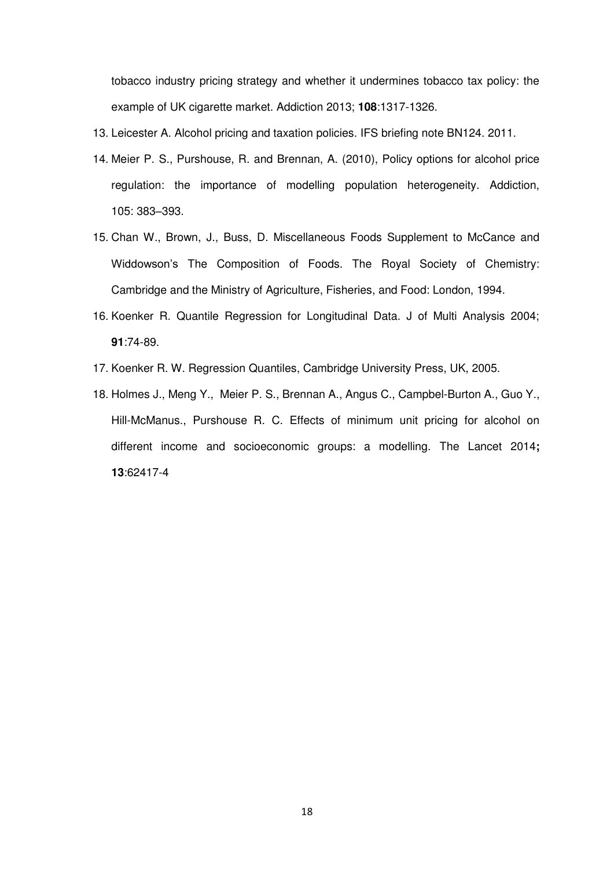tobacco industry pricing strategy and whether it undermines tobacco tax policy: the example of UK cigarette market. Addiction 2013; **108**:1317-1326.

- 13. Leicester A. Alcohol pricing and taxation policies. IFS briefing note BN124. 2011.
- 14. Meier P. S., Purshouse, R. and Brennan, A. (2010), Policy options for alcohol price regulation: the importance of modelling population heterogeneity. Addiction, 105: 383–393.
- 15. Chan W., Brown, J., Buss, D. Miscellaneous Foods Supplement to McCance and Widdowson's The Composition of Foods. The Royal Society of Chemistry: Cambridge and the Ministry of Agriculture, Fisheries, and Food: London, 1994.
- <span id="page-18-0"></span>16. Koenker R. Quantile Regression for Longitudinal Data. J of Multi Analysis 2004; **91**:74-89.
- 17. Koenker R. W. Regression Quantiles, Cambridge University Press, UK, 2005.
- 18. Holmes J., Meng Y., Meier P. S., Brennan A., Angus C., Campbel-Burton A., Guo Y., Hill-McManus., Purshouse R. C. Effects of minimum unit pricing for alcohol on different income and socioeconomic groups: a modelling. The Lancet 2014**; 13**:62417-4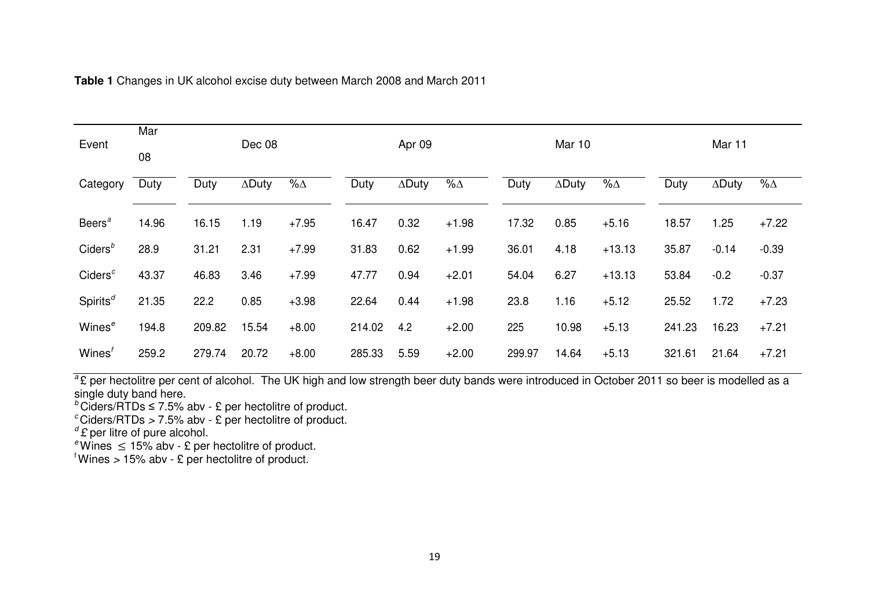| Event                             | Mar   |        |               |            |        |               |             |        |               |            |        |               |             |
|-----------------------------------|-------|--------|---------------|------------|--------|---------------|-------------|--------|---------------|------------|--------|---------------|-------------|
|                                   | 08    |        | Dec 08        |            |        | Apr 09        |             |        | <b>Mar 10</b> |            |        | Mar 11        |             |
| Category                          | Duty  | Duty   | $\Delta$ Duty | $% \Delta$ | Duty   | $\Delta$ Duty | $\% \Delta$ | Duty   | $\Delta$ Duty | $% \Delta$ | Duty   | $\Delta$ Duty | $\% \Delta$ |
| Beers <sup>a</sup>                | 14.96 | 16.15  | 1.19          | $+7.95$    | 16.47  | 0.32          | $+1.98$     | 17.32  | 0.85          | $+5.16$    | 18.57  | 1.25          | $+7.22$     |
| Ciders <sup>b</sup>               | 28.9  | 31.21  | 2.31          | $+7.99$    | 31.83  | 0.62          | $+1.99$     | 36.01  | 4.18          | $+13.13$   | 35.87  | $-0.14$       | $-0.39$     |
| Ciders <sup>c</sup>               | 43.37 | 46.83  | 3.46          | $+7.99$    | 47.77  | 0.94          | $+2.01$     | 54.04  | 6.27          | $+13.13$   | 53.84  | $-0.2$        | $-0.37$     |
| Spirits <sup><math>d</math></sup> | 21.35 | 22.2   | 0.85          | $+3.98$    | 22.64  | 0.44          | $+1.98$     | 23.8   | 1.16          | $+5.12$    | 25.52  | 1.72          | $+7.23$     |
| Wines <sup>e</sup>                | 194.8 | 209.82 | 15.54         | $+8.00$    | 214.02 | 4.2           | $+2.00$     | 225    | 10.98         | $+5.13$    | 241.23 | 16.23         | $+7.21$     |
| Wines'                            | 259.2 | 279.74 | 20.72         | $+8.00$    | 285.33 | 5.59          | $+2.00$     | 299.97 | 14.64         | $+5.13$    | 321.61 | 21.64         | $+7.21$     |

**Table 1** Changes in UK alcohol excise duty between March 2008 and March 2011

<sup>a</sup>£ per hectolitre per cent of alcohol. The UK high and low strength beer duty bands were introduced in October 2011 so beer is modelled as a single duty band here.

 $b$ Ciders/RTDs  $\leq$  7.5% abv - £ per hectolitre of product.

*<sup>c</sup>*Ciders/RTDs *>* 7*.*5% abv - £ per hectolitre of product.

*<sup>d</sup>£* per litre of pure alcohol.

 $e^e$ Wines  $\leq 15\%$  abv - £ per hectolitre of product.

<sup>f</sup>Wines *>* 15% abv - £ per hectolitre of product.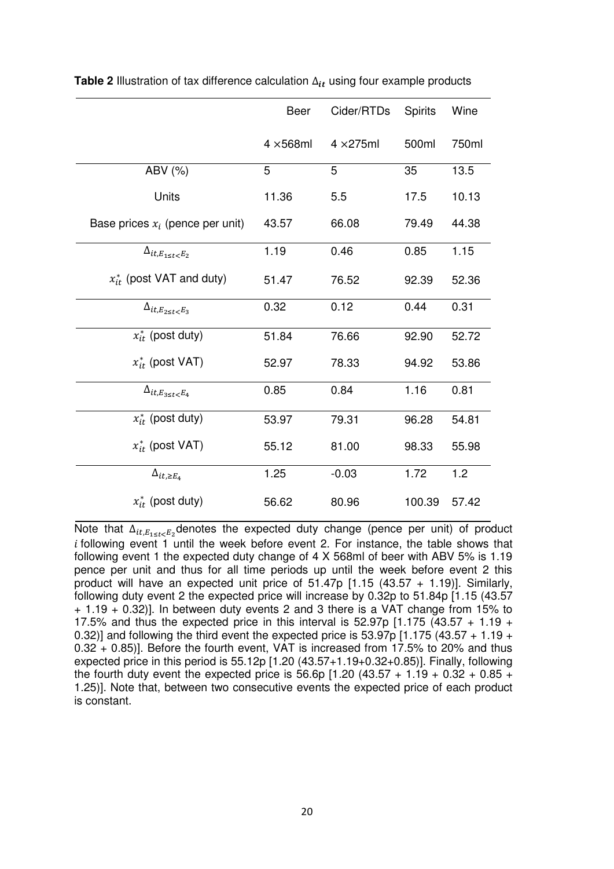|                                     | <b>Beer</b>       | Cider/RTDs        | <b>Spirits</b> | Wine  |
|-------------------------------------|-------------------|-------------------|----------------|-------|
|                                     | $4 \times 568$ ml | $4 \times 275$ ml | 500ml          | 750ml |
| ABV (%)                             | 5                 | 5                 | 35             | 13.5  |
| Units                               | 11.36             | 5.5               | 17.5           | 10.13 |
| Base prices $x_i$ (pence per unit)  | 43.57             | 66.08             | 79.49          | 44.38 |
| $\Delta_{it,E_{1\leq t\leq E_2}}$   | 1.19              | 0.46              | 0.85           | 1.15  |
| $x_{it}^*$ (post VAT and duty)      | 51.47             | 76.52             | 92.39          | 52.36 |
| $\Delta_{it,E_{2\leq t\leq E_3}}$   | 0.32              | 0.12              | 0.44           | 0.31  |
| $x_{it}^*$ (post duty)              | 51.84             | 76.66             | 92.90          | 52.72 |
| $x_{it}^*$ (post VAT)               | 52.97             | 78.33             | 94.92          | 53.86 |
| $\Delta_{it,E_{3 \leq t \leq E_4}}$ | 0.85              | 0.84              | 1.16           | 0.81  |
| $x_{it}^*$ (post duty)              | 53.97             | 79.31             | 96.28          | 54.81 |
| $x_{it}^*$ (post VAT)               | 55.12             | 81.00             | 98.33          | 55.98 |
| $\Delta_{it, \geq E_4}$             | 1.25              | $-0.03$           | 1.72           | 1.2   |
| $x_{it}^*$ (post duty)              | 56.62             | 80.96             | 100.39         | 57.42 |

**Table 2** Illustration of tax difference calculation  $\Delta_{it}$  using four example products

Note that  $\Delta_{it,E_{1\leq t\leq E_2}}$  denotes the expected duty change (pence per unit) of product  $i$  following event 1 until the week before event 2. For instance, the table shows that following event 1 the expected duty change of 4 X 568ml of beer with ABV 5% is 1.19 pence per unit and thus for all time periods up until the week before event 2 this product will have an expected unit price of 51.47p [1*.*15 (43*.*57 + 1*.*19)]. Similarly, following duty event 2 the expected price will increase by 0.32p to 51.84p [1*.*15 (43*.*57 + 1*.*19 + 0*.*32)]. In between duty events 2 and 3 there is a VAT change from 15% to 17.5% and thus the expected price in this interval is 52.97p [1*.*175 (43*.*57 + 1*.*19 + 0*.*32)] and following the third event the expected price is 53.97p [1*.*175 (43*.*57 + 1*.*19 + 0*.*32 + 0*.*85)]. Before the fourth event, VAT is increased from 17.5% to 20% and thus expected price in this period is 55.12p [1*.*20 (43*.*57+1*.*19+0*.*32+0*.*85)]. Finally, following the fourth duty event the expected price is 56.6p [1*.*20 (43*.*57 + 1*.*19 + 0*.*32 + 0*.*85 + 1*.*25)]. Note that, between two consecutive events the expected price of each product is constant.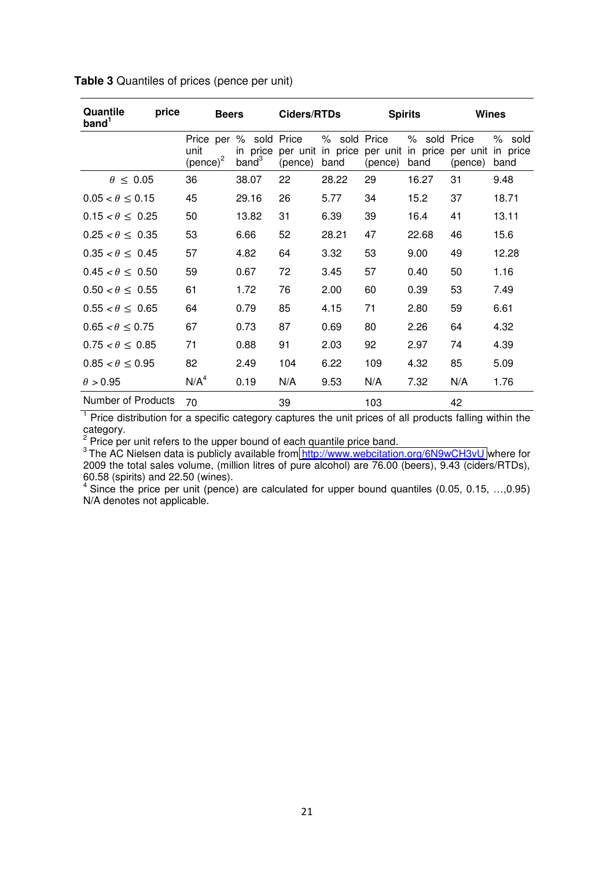| Quantile<br>price<br>band <sup>1</sup> | <b>Beers</b>                                           |                               | Ciders/RTDs |                                                             | <b>Spirits</b> |                      | Wines   |                                     |  |
|----------------------------------------|--------------------------------------------------------|-------------------------------|-------------|-------------------------------------------------------------|----------------|----------------------|---------|-------------------------------------|--|
|                                        | Price per % sold Price<br>unit<br>(pence) <sup>2</sup> | in price<br>band <sup>3</sup> | (pence)     | % sold Price<br>per unit in price per unit in price<br>band | (pence)        | % sold Price<br>band | (pence) | % sold<br>per unit in price<br>band |  |
| $\theta \leq 0.05$                     | 36                                                     | 38.07                         | 22          | 28.22                                                       | 29             | 16.27                | 31      | 9.48                                |  |
| $0.05 < \theta \le 0.15$               | 45                                                     | 29.16                         | 26          | 5.77                                                        | 34             | 15.2                 | 37      | 18.71                               |  |
| $0.15 < \theta \leq 0.25$              | 50                                                     | 13.82                         | 31          | 6.39                                                        | 39             | 16.4                 | 41      | 13.11                               |  |
| $0.25 < \theta \leq 0.35$              | 53                                                     | 6.66                          | 52          | 28.21                                                       | 47             | 22.68                | 46      | 15.6                                |  |
| $0.35 < \theta \leq 0.45$              | 57                                                     | 4.82                          | 64          | 3.32                                                        | 53             | 9.00                 | 49      | 12.28                               |  |
| $0.45 < \theta < 0.50$                 | 59                                                     | 0.67                          | 72          | 3.45                                                        | 57             | 0.40                 | 50      | 1.16                                |  |
| $0.50 < \theta < 0.55$                 | 61                                                     | 1.72                          | 76          | 2.00                                                        | 60             | 0.39                 | 53      | 7.49                                |  |
| $0.55 < \theta \leq 0.65$              | 64                                                     | 0.79                          | 85          | 4.15                                                        | 71             | 2.80                 | 59      | 6.61                                |  |
| $0.65 < \theta \leq 0.75$              | 67                                                     | 0.73                          | 87          | 0.69                                                        | 80             | 2.26                 | 64      | 4.32                                |  |
| $0.75 < \theta \leq 0.85$              | 71                                                     | 0.88                          | 91          | 2.03                                                        | 92             | 2.97                 | 74      | 4.39                                |  |
| $0.85 < \theta \leq 0.95$              | 82                                                     | 2.49                          | 104         | 6.22                                                        | 109            | 4.32                 | 85      | 5.09                                |  |
| $\theta > 0.95$                        | N/A <sup>4</sup>                                       | 0.19                          | N/A         | 9.53                                                        | N/A            | 7.32                 | N/A     | 1.76                                |  |
| Number of Products                     | 70                                                     |                               | 39          |                                                             | 103            |                      | 42      |                                     |  |

**Table 3** Quantiles of prices (pence per unit)

<sup>1</sup> Price distribution for a specific category captures the unit prices of all products falling within the

category.<br><sup>2</sup> Price per unit refers to the upper bound of each quantile price band.

<sup>3</sup>The AC Nielsen data is publicly available from<http://www.webcitation.org/6N9wCH3vU>where for 2009 the total sales volume, (million litres of pure alcohol) are 76.00 (beers), 9.43 (ciders/RTDs), 60.58 (spirits) and 22.50 (wines).

<sup>4</sup> Since the price per unit (pence) are calculated for upper bound quantiles (0.05, 0.15, ..., 0.95) N/A denotes not applicable.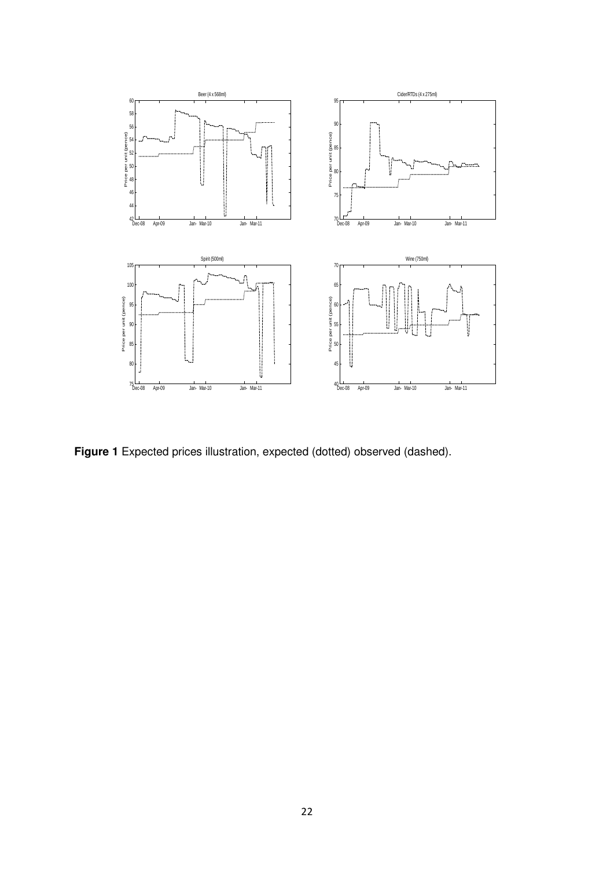

**Figure 1** Expected prices illustration, expected (dotted) observed (dashed).